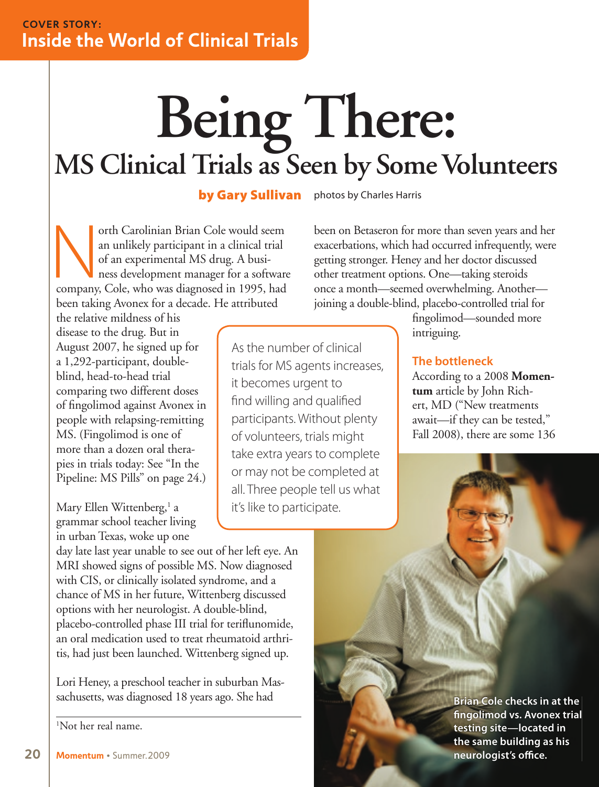# **Being There:**<br>MS Clinical Trials as Seen by Some Volunteers

by Gary Sullivan photos by Charles Harris

orth Carolinian Brian Cole would seem<br>
an unlikely participant in a clinical trial<br>
of an experimental MS drug. A busi-<br>
ness development manager for a software<br>
company, Cole, who was diagnosed in 1995, had an unlikely participant in a clinical trial of an experimental MS drug. A business development manager for a software been taking Avonex for a decade. He attributed

been on Betaseron for more than seven years and her exacerbations, which had occurred infrequently, were getting stronger. Heney and her doctor discussed other treatment options. One—taking steroids once a month—seemed overwhelming. Another joining a double-blind, placebo- controlled trial for

the relative mildness of his disease to the drug. But in August 2007, he signed up for a 1,292-participant, doubleblind, head-to-head trial comparing two different doses of fingolimod against Avonex in people with relapsing-remitting MS. (Fingolimod is one of more than a dozen oral therapies in trials today: See "In the Pipeline: MS Pills" on page 24.)

Mary Ellen Wittenberg,<sup>1</sup> a grammar school teacher living in urban Texas, woke up one

day late last year unable to see out of her left eye. An MRI showed signs of possible MS. Now diagnosed with CIS, or clinically isolated syndrome, and a chance of MS in her future, Wittenberg discussed options with her neurologist. A double-blind, placebo-controlled phase III trial for teriflunomide, an oral medication used to treat rheumatoid arthritis, had just been launched. Wittenberg signed up.

Lori Heney, a preschool teacher in suburban Massachusetts, was diagnosed 18 years ago. She had

1 Not her real name.

As the number of clinical trials for MS agents increases, it becomes urgent to find willing and qualified participants. Without plenty of volunteers, trials might take extra years to complete or may not be completed at all. Three people tell us what it's like to participate.

fingolimod—sounded more intriguing.

### **The bottleneck**

According to a 2008 **Momentum** article by John Richert, MD ("New treatments await—if they can be tested," Fall 2008), there are some 136

> **Brian Cole checks in at the fi ngolimod vs. Avonex trial testing site—located in the same building as his neurologist's office.**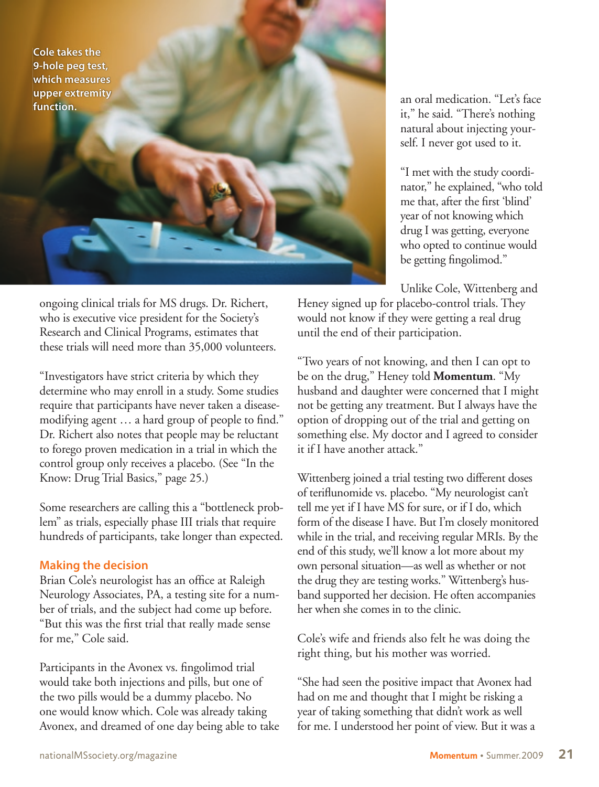**Cole takes the 9-hole peg test, which measures upper extremity function.**

ongoing clinical trials for MS drugs. Dr. Richert, who is executive vice president for the Society's Research and Clinical Programs, estimates that these trials will need more than 35,000 volunteers.

"Investigators have strict criteria by which they determine who may enroll in a study. Some studies require that participants have never taken a diseasemodifying agent ... a hard group of people to find." Dr. Richert also notes that people may be reluctant to forego proven medication in a trial in which the control group only receives a placebo. (See "In the Know: Drug Trial Basics," page 25.)

Some researchers are calling this a "bottleneck problem" as trials, especially phase III trials that require hundreds of participants, take longer than expected.

## **Making the decision**

Brian Cole's neurologist has an office at Raleigh Neurology Associates, PA, a testing site for a number of trials, and the subject had come up before. "But this was the first trial that really made sense for me," Cole said.

Participants in the Avonex vs. fingolimod trial would take both injections and pills, but one of the two pills would be a dummy placebo. No one would know which. Cole was already taking Avonex, and dreamed of one day being able to take an oral medication. "Let's face it," he said. "There's nothing natural about injecting yourself. I never got used to it.

"I met with the study coordinator," he explained, "who told me that, after the first 'blind' year of not knowing which drug I was getting, everyone who opted to continue would be getting fingolimod."

Unlike Cole, Wittenberg and

Heney signed up for placebo-control trials. They would not know if they were getting a real drug until the end of their participation.

"Two years of not knowing, and then I can opt to be on the drug," Heney told **Momentum**. "My husband and daughter were concerned that I might not be getting any treatment. But I always have the option of dropping out of the trial and getting on something else. My doctor and I agreed to consider it if I have another attack."

Wittenberg joined a trial testing two different doses of teriflunomide vs. placebo. "My neurologist can't tell me yet if I have MS for sure, or if I do, which form of the disease I have. But I'm closely monitored while in the trial, and receiving regular MRIs. By the end of this study, we'll know a lot more about my own personal situation—as well as whether or not the drug they are testing works." Wittenberg's husband supported her decision. He often accompanies her when she comes in to the clinic.

Cole's wife and friends also felt he was doing the right thing, but his mother was worried.

"She had seen the positive impact that Avonex had had on me and thought that I might be risking a year of taking something that didn't work as well for me. I understood her point of view. But it was a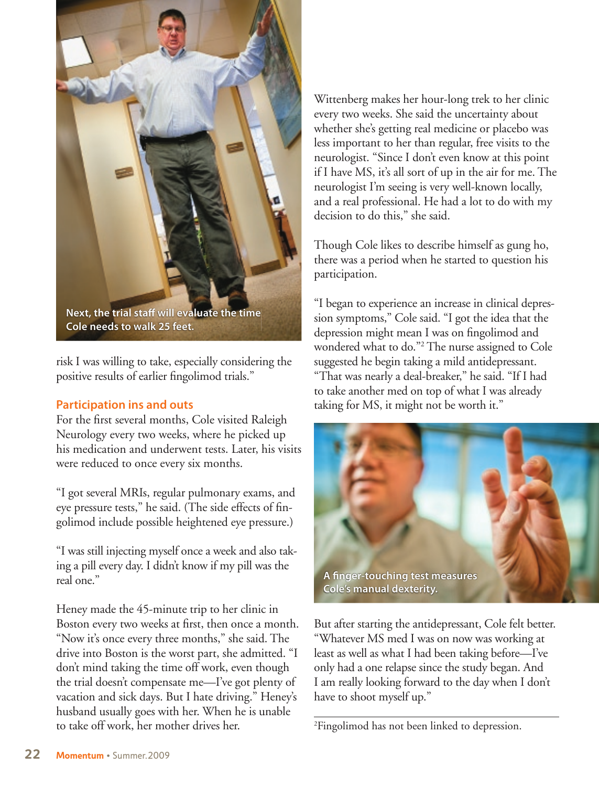

**Cole needs to walk 25 feet.**

risk I was willing to take, especially considering the positive results of earlier fingolimod trials."

### **Participation ins and outs**

For the first several months, Cole visited Raleigh Neurology every two weeks, where he picked up his medication and underwent tests. Later, his visits were reduced to once every six months.

"I got several MRIs, regular pulmonary exams, and eye pressure tests," he said. (The side effects of fingolimod include possible heightened eye pressure.)

"I was still injecting myself once a week and also taking a pill every day. I didn't know if my pill was the real one."

Heney made the 45-minute trip to her clinic in Boston every two weeks at first, then once a month. "Now it's once every three months," she said. The drive into Boston is the worst part, she admitted. "I don't mind taking the time off work, even though the trial doesn't compensate me—I've got plenty of vacation and sick days. But I hate driving." Heney's husband usually goes with her. When he is unable to take off work, her mother drives her.

Wittenberg makes her hour-long trek to her clinic every two weeks. She said the uncertainty about whether she's getting real medicine or placebo was less important to her than regular, free visits to the neurologist. "Since I don't even know at this point if I have MS, it's all sort of up in the air for me. The neurologist I'm seeing is very well-known locally, and a real professional. He had a lot to do with my decision to do this," she said.

Though Cole likes to describe himself as gung ho, there was a period when he started to question his participation.

"I began to experience an increase in clinical depression symptoms," Cole said. "I got the idea that the depression might mean I was on fingolimod and wondered what to do."2 The nurse assigned to Cole suggested he begin taking a mild antidepressant. "That was nearly a deal-breaker," he said. "If I had to take another med on top of what I was already taking for MS, it might not be worth it."



But after starting the antidepressant, Cole felt better. "Whatever MS med I was on now was working at least as well as what I had been taking before—I've only had a one relapse since the study began. And I am really looking forward to the day when I don't have to shoot myself up."

2 Fingolimod has not been linked to depression.